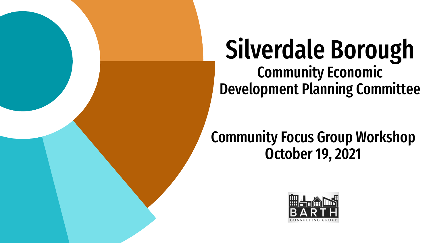

# Silverdale Borough Community Economic Development Planning Committee

#### Community Focus Group Workshop October 19, 2021

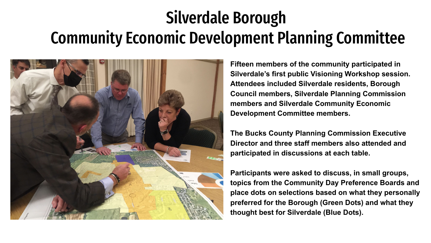# Silverdale Borough Community Economic Development Planning Committee



**Fifteen members of the community participated in Silverdale's first public Visioning Workshop session. Attendees included Silverdale residents, Borough Council members, Silverdale Planning Commission members and Silverdale Community Economic Development Committee members.**

**The Bucks County Planning Commission Executive Director and three staff members also attended and participated in discussions at each table.**

**Participants were asked to discuss, in small groups, topics from the Community Day Preference Boards and place dots on selections based on what they personally preferred for the Borough (Green Dots) and what they thought best for Silverdale (Blue Dots).**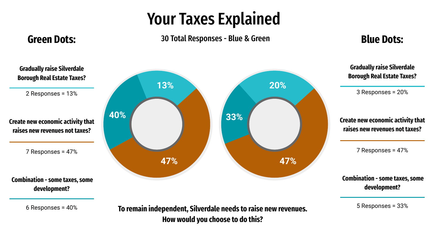## Your Taxes Explained

#### 30 Total Responses - Blue & Green **Green Dots: Blue Dots:**

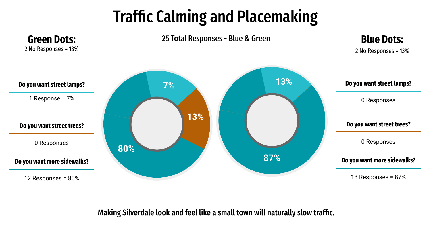# Traffic Calming and Placemaking



Making Silverdale look and feel like a small town will naturally slow traffic.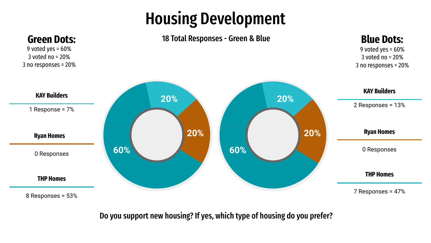## Housing Development



Do you support new housing? If yes, which type of housing do you prefer?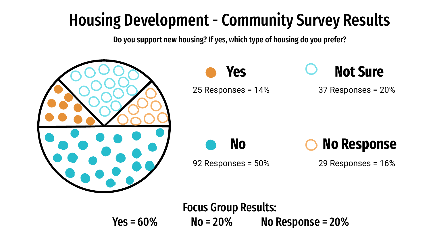# Housing Development - Community Survey Results

Do you support new housing? If yes, which type of housing do you prefer?



Focus Group Results:  $Yes = 60\%$  No = 20% No Response = 20%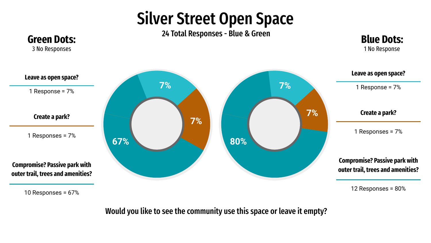#### Silver Street Open Space



Would you like to see the community use this space or leave it empty?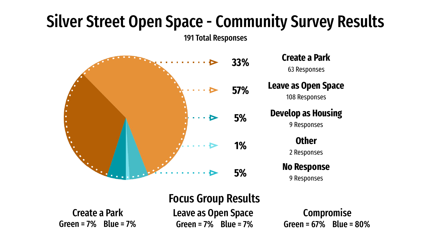# Silver Street Open Space - Community Survey Results

191 Total Responses



**Develop as Housing** 9 Responses **Other** 2 Responses **No Response** 9 Responses

Create a Park Leave as Open Space Compromise Green = 7% Blue = 7% Green = 7% Blue = 7% Focus Group Results

Green = 67% Blue = 80%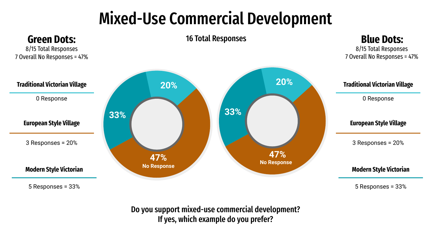# Mixed-Use Commercial Development



Do you support mixed-use commercial development? If yes, which example do you prefer?